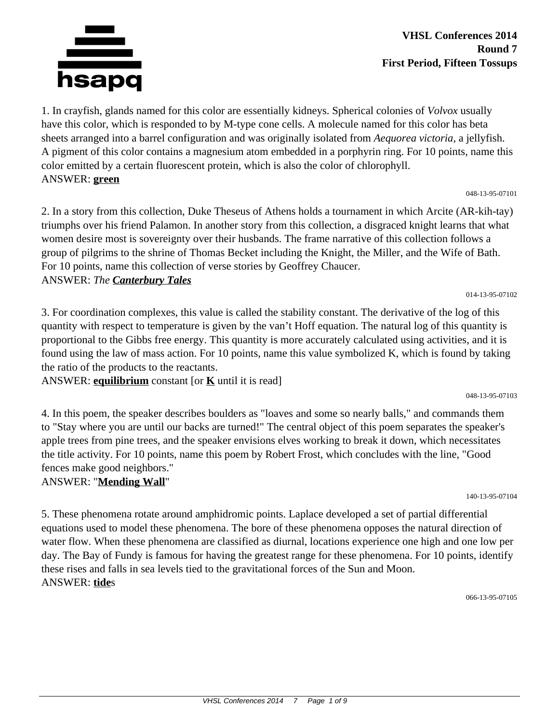

VHSL Conferences 2014 7 Page 1 of 9

## **VHSL Conferences 2014 Round 7 First Period, Fifteen Tossups**

1. In crayfish, glands named for this color are essentially kidneys. Spherical colonies of *Volvox* usually have this color, which is responded to by M-type cone cells. A molecule named for this color has beta sheets arranged into a barrel configuration and was originally isolated from *Aequorea victoria*, a jellyfish. A pigment of this color contains a magnesium atom embedded in a porphyrin ring. For 10 points, name this color emitted by a certain fluorescent protein, which is also the color of chlorophyll. ANSWER: **green**

048-13-95-07101

2. In a story from this collection, Duke Theseus of Athens holds a tournament in which Arcite (AR-kih-tay) triumphs over his friend Palamon. In another story from this collection, a disgraced knight learns that what women desire most is sovereignty over their husbands. The frame narrative of this collection follows a group of pilgrims to the shrine of Thomas Becket including the Knight, the Miller, and the Wife of Bath. For 10 points, name this collection of verse stories by Geoffrey Chaucer.

#### ANSWER: *The Canterbury Tales*

3. For coordination complexes, this value is called the stability constant. The derivative of the log of this quantity with respect to temperature is given by the van't Hoff equation. The natural log of this quantity is proportional to the Gibbs free energy. This quantity is more accurately calculated using activities, and it is found using the law of mass action. For 10 points, name this value symbolized K, which is found by taking the ratio of the products to the reactants.

ANSWER: **equilibrium** constant [or **K** until it is read]

4. In this poem, the speaker describes boulders as "loaves and some so nearly balls," and commands them to "Stay where you are until our backs are turned!" The central object of this poem separates the speaker's apple trees from pine trees, and the speaker envisions elves working to break it down, which necessitates the title activity. For 10 points, name this poem by Robert Frost, which concludes with the line, "Good fences make good neighbors."

## ANSWER: "**Mending Wall**"

5. These phenomena rotate around amphidromic points. Laplace developed a set of partial differential equations used to model these phenomena. The bore of these phenomena opposes the natural direction of water flow. When these phenomena are classified as diurnal, locations experience one high and one low per day. The Bay of Fundy is famous for having the greatest range for these phenomena. For 10 points, identify these rises and falls in sea levels tied to the gravitational forces of the Sun and Moon. ANSWER: **tide**s

066-13-95-07105



048-13-95-07103

014-13-95-07102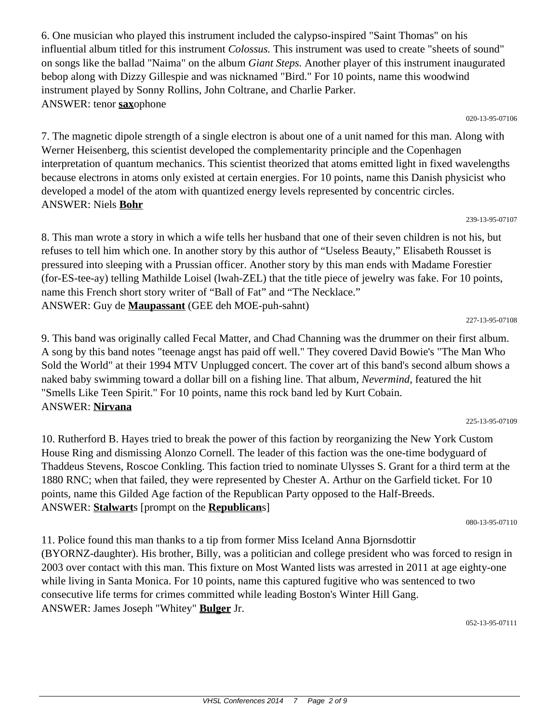6. One musician who played this instrument included the calypso-inspired "Saint Thomas" on his influential album titled for this instrument *Colossus.* This instrument was used to create "sheets of sound" on songs like the ballad "Naima" on the album *Giant Steps.* Another player of this instrument inaugurated bebop along with Dizzy Gillespie and was nicknamed "Bird." For 10 points, name this woodwind instrument played by Sonny Rollins, John Coltrane, and Charlie Parker. ANSWER: tenor **sax**ophone

020-13-95-07106

7. The magnetic dipole strength of a single electron is about one of a unit named for this man. Along with Werner Heisenberg, this scientist developed the complementarity principle and the Copenhagen interpretation of quantum mechanics. This scientist theorized that atoms emitted light in fixed wavelengths because electrons in atoms only existed at certain energies. For 10 points, name this Danish physicist who developed a model of the atom with quantized energy levels represented by concentric circles. ANSWER: Niels **Bohr**

239-13-95-07107

227-13-95-07108

225-13-95-07109

8. This man wrote a story in which a wife tells her husband that one of their seven children is not his, but refuses to tell him which one. In another story by this author of "Useless Beauty," Elisabeth Rousset is pressured into sleeping with a Prussian officer. Another story by this man ends with Madame Forestier (for-ES-tee-ay) telling Mathilde Loisel (lwah-ZEL) that the title piece of jewelry was fake. For 10 points, name this French short story writer of "Ball of Fat" and "The Necklace." ANSWER: Guy de **Maupassant** (GEE deh MOE-puh-sahnt)

9. This band was originally called Fecal Matter, and Chad Channing was the drummer on their first album. A song by this band notes "teenage angst has paid off well." They covered David Bowie's "The Man Who Sold the World" at their 1994 MTV Unplugged concert. The cover art of this band's second album shows a naked baby swimming toward a dollar bill on a fishing line. That album, *Nevermind,* featured the hit "Smells Like Teen Spirit." For 10 points, name this rock band led by Kurt Cobain.

ANSWER: **Nirvana**

10. Rutherford B. Hayes tried to break the power of this faction by reorganizing the New York Custom House Ring and dismissing Alonzo Cornell. The leader of this faction was the one-time bodyguard of Thaddeus Stevens, Roscoe Conkling. This faction tried to nominate Ulysses S. Grant for a third term at the 1880 RNC; when that failed, they were represented by Chester A. Arthur on the Garfield ticket. For 10 points, name this Gilded Age faction of the Republican Party opposed to the Half-Breeds. ANSWER: **Stalwart**s [prompt on the **Republican**s]

080-13-95-07110

11. Police found this man thanks to a tip from former Miss Iceland Anna Bjornsdottir (BYORNZ-daughter). His brother, Billy, was a politician and college president who was forced to resign in 2003 over contact with this man. This fixture on Most Wanted lists was arrested in 2011 at age eighty-one while living in Santa Monica. For 10 points, name this captured fugitive who was sentenced to two consecutive life terms for crimes committed while leading Boston's Winter Hill Gang. ANSWER: James Joseph "Whitey" **Bulger** Jr.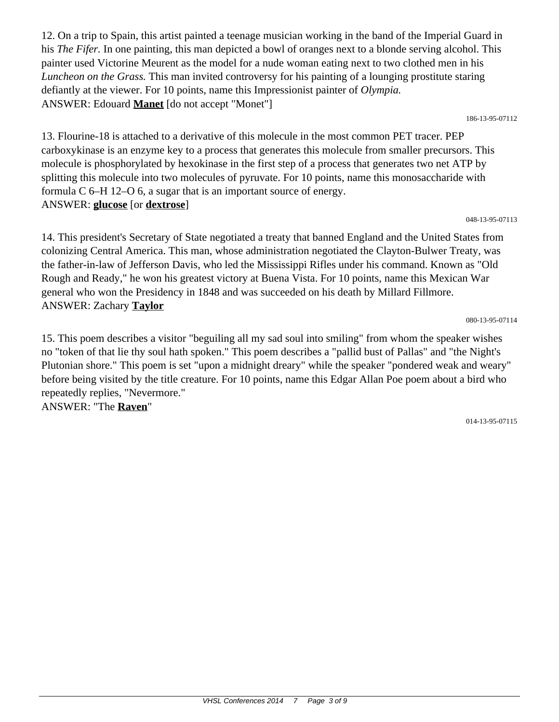12. On a trip to Spain, this artist painted a teenage musician working in the band of the Imperial Guard in his *The Fifer.* In one painting, this man depicted a bowl of oranges next to a blonde serving alcohol. This painter used Victorine Meurent as the model for a nude woman eating next to two clothed men in his *Luncheon on the Grass.* This man invited controversy for his painting of a lounging prostitute staring defiantly at the viewer. For 10 points, name this Impressionist painter of *Olympia.* ANSWER: Edouard **Manet** [do not accept "Monet"]

186-13-95-07112

13. Flourine-18 is attached to a derivative of this molecule in the most common PET tracer. PEP carboxykinase is an enzyme key to a process that generates this molecule from smaller precursors. This molecule is phosphorylated by hexokinase in the first step of a process that generates two net ATP by splitting this molecule into two molecules of pyruvate. For 10 points, name this monosaccharide with formula C 6–H 12–O 6, a sugar that is an important source of energy. ANSWER: **glucose** [or **dextrose**]

#### 048-13-95-07113

14. This president's Secretary of State negotiated a treaty that banned England and the United States from colonizing Central America. This man, whose administration negotiated the Clayton-Bulwer Treaty, was the father-in-law of Jefferson Davis, who led the Mississippi Rifles under his command. Known as "Old Rough and Ready," he won his greatest victory at Buena Vista. For 10 points, name this Mexican War general who won the Presidency in 1848 and was succeeded on his death by Millard Fillmore. ANSWER: Zachary **Taylor**

080-13-95-07114

15. This poem describes a visitor "beguiling all my sad soul into smiling" from whom the speaker wishes no "token of that lie thy soul hath spoken." This poem describes a "pallid bust of Pallas" and "the Night's Plutonian shore." This poem is set "upon a midnight dreary" while the speaker "pondered weak and weary" before being visited by the title creature. For 10 points, name this Edgar Allan Poe poem about a bird who repeatedly replies, "Nevermore." ANSWER: "The **Raven**"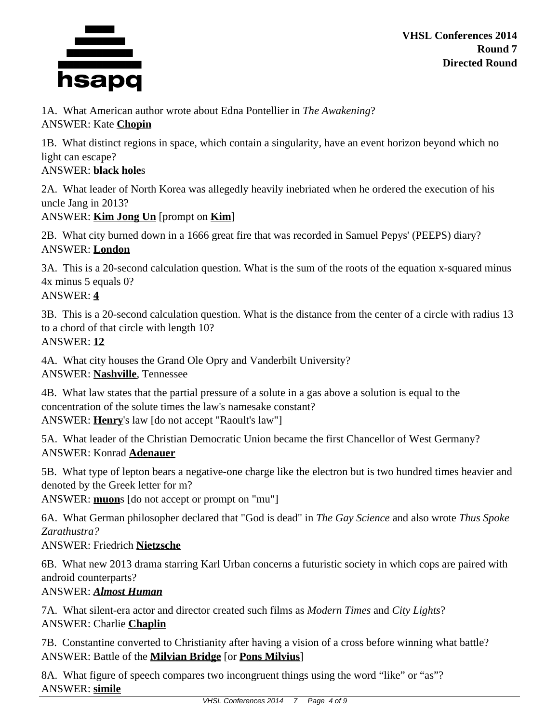

1A. What American author wrote about Edna Pontellier in *The Awakening*? ANSWER: Kate **Chopin**

1B. What distinct regions in space, which contain a singularity, have an event horizon beyond which no light can escape?

#### ANSWER: **black hole**s

2A. What leader of North Korea was allegedly heavily inebriated when he ordered the execution of his uncle Jang in 2013?

## ANSWER: **Kim Jong Un** [prompt on **Kim**]

2B. What city burned down in a 1666 great fire that was recorded in Samuel Pepys' (PEEPS) diary? ANSWER: **London**

3A. This is a 20-second calculation question. What is the sum of the roots of the equation x-squared minus 4x minus 5 equals 0? ANSWER: **4**

3B. This is a 20-second calculation question. What is the distance from the center of a circle with radius 13 to a chord of that circle with length 10? ANSWER: **12**

4A. What city houses the Grand Ole Opry and Vanderbilt University? ANSWER: **Nashville**, Tennessee

4B. What law states that the partial pressure of a solute in a gas above a solution is equal to the concentration of the solute times the law's namesake constant? ANSWER: **Henry**'s law [do not accept "Raoult's law"]

5A. What leader of the Christian Democratic Union became the first Chancellor of West Germany? ANSWER: Konrad **Adenauer**

5B. What type of lepton bears a negative-one charge like the electron but is two hundred times heavier and denoted by the Greek letter for m?

ANSWER: **muon**s [do not accept or prompt on "mu"]

6A. What German philosopher declared that "God is dead" in *The Gay Science* and also wrote *Thus Spoke Zarathustra?*

## ANSWER: Friedrich **Nietzsche**

6B. What new 2013 drama starring Karl Urban concerns a futuristic society in which cops are paired with android counterparts?

## ANSWER: *Almost Human*

7A. What silent-era actor and director created such films as *Modern Times* and *City Lights*? ANSWER: Charlie **Chaplin**

7B. Constantine converted to Christianity after having a vision of a cross before winning what battle? ANSWER: Battle of the **Milvian Bridge** [or **Pons Milvius**]

8A. What figure of speech compares two incongruent things using the word "like" or "as"? ANSWER: **simile**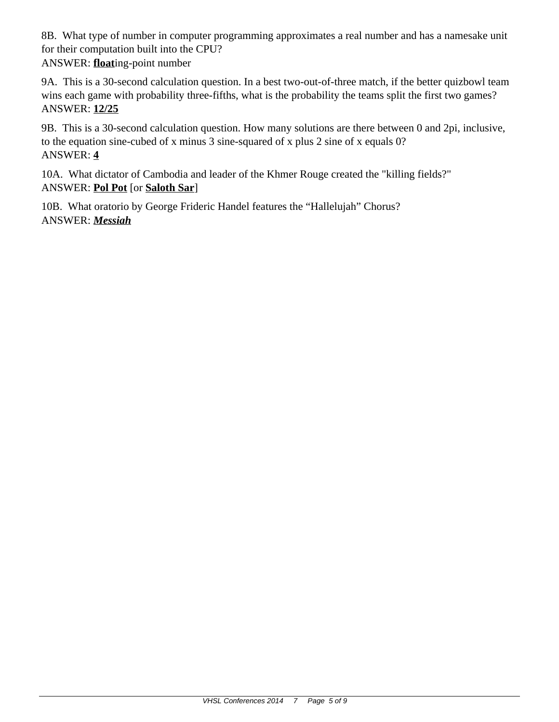8B. What type of number in computer programming approximates a real number and has a namesake unit for their computation built into the CPU?

ANSWER: **float**ing-point number

9A. This is a 30-second calculation question. In a best two-out-of-three match, if the better quizbowl team wins each game with probability three-fifths, what is the probability the teams split the first two games? ANSWER: **12/25**

9B. This is a 30-second calculation question. How many solutions are there between 0 and 2pi, inclusive, to the equation sine-cubed of x minus 3 sine-squared of x plus 2 sine of x equals 0? ANSWER: **4**

10A. What dictator of Cambodia and leader of the Khmer Rouge created the "killing fields?" ANSWER: **Pol Pot** [or **Saloth Sar**]

10B. What oratorio by George Frideric Handel features the "Hallelujah" Chorus? ANSWER: *Messiah*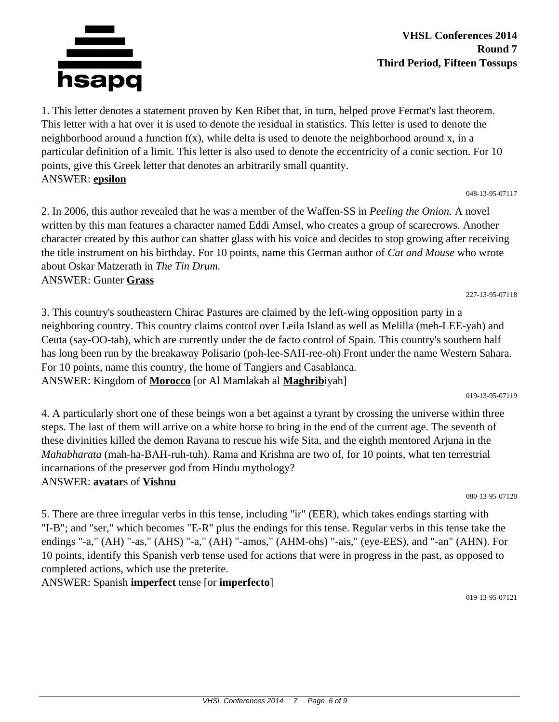

#### **VHSL Conferences 2014 Round 7 Third Period, Fifteen Tossups**

1. This letter denotes a statement proven by Ken Ribet that, in turn, helped prove Fermat's last theorem. This letter with a hat over it is used to denote the residual in statistics. This letter is used to denote the neighborhood around a function  $f(x)$ , while delta is used to denote the neighborhood around x, in a particular definition of a limit. This letter is also used to denote the eccentricity of a conic section. For 10 points, give this Greek letter that denotes an arbitrarily small quantity. ANSWER: **epsilon**

048-13-95-07117

2. In 2006, this author revealed that he was a member of the Waffen-SS in *Peeling the Onion.* A novel written by this man features a character named Eddi Amsel, who creates a group of scarecrows. Another character created by this author can shatter glass with his voice and decides to stop growing after receiving the title instrument on his birthday. For 10 points, name this German author of *Cat and Mouse* who wrote about Oskar Matzerath in *The Tin Drum.* ANSWER: Gunter **Grass**

227-13-95-07118

3. This country's southeastern Chirac Pastures are claimed by the left-wing opposition party in a neighboring country. This country claims control over Leila Island as well as Melilla (meh-LEE-yah) and Ceuta (say-OO-tah), which are currently under the de facto control of Spain. This country's southern half has long been run by the breakaway Polisario (poh-lee-SAH-ree-oh) Front under the name Western Sahara. For 10 points, name this country, the home of Tangiers and Casablanca. ANSWER: Kingdom of **Morocco** [or Al Mamlakah al **Maghrib**iyah]

019-13-95-07119

4. A particularly short one of these beings won a bet against a tyrant by crossing the universe within three steps. The last of them will arrive on a white horse to bring in the end of the current age. The seventh of these divinities killed the demon Ravana to rescue his wife Sita, and the eighth mentored Arjuna in the *Mahabharata* (mah-ha-BAH-ruh-tuh). Rama and Krishna are two of, for 10 points, what ten terrestrial incarnations of the preserver god from Hindu mythology? ANSWER: **avatar**s of **Vishnu**

080-13-95-07120

5. There are three irregular verbs in this tense, including "ir" (EER), which takes endings starting with "I-B"; and "ser," which becomes "E-R" plus the endings for this tense. Regular verbs in this tense take the endings "-a," (AH) "-as," (AHS) "-a," (AH) "-amos," (AHM-ohs) "-ais," (eye-EES), and "-an" (AHN). For 10 points, identify this Spanish verb tense used for actions that were in progress in the past, as opposed to completed actions, which use the preterite.

ANSWER: Spanish **imperfect** tense [or **imperfecto**]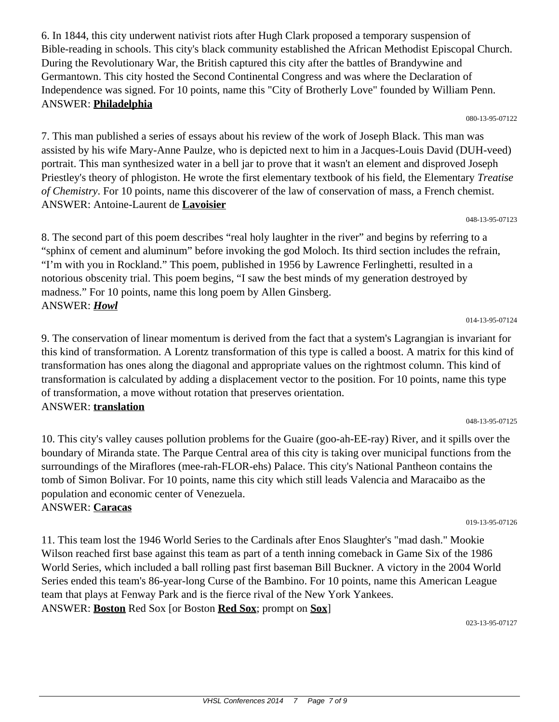6. In 1844, this city underwent nativist riots after Hugh Clark proposed a temporary suspension of Bible-reading in schools. This city's black community established the African Methodist Episcopal Church. During the Revolutionary War, the British captured this city after the battles of Brandywine and Germantown. This city hosted the Second Continental Congress and was where the Declaration of Independence was signed. For 10 points, name this "City of Brotherly Love" founded by William Penn. ANSWER: **Philadelphia**

080-13-95-07122

7. This man published a series of essays about his review of the work of Joseph Black. This man was assisted by his wife Mary-Anne Paulze, who is depicted next to him in a Jacques-Louis David (DUH-veed) portrait. This man synthesized water in a bell jar to prove that it wasn't an element and disproved Joseph Priestley's theory of phlogiston. He wrote the first elementary textbook of his field, the Elementary *Treatise of Chemistry*. For 10 points, name this discoverer of the law of conservation of mass, a French chemist. ANSWER: Antoine-Laurent de **Lavoisier**

048-13-95-07123

014-13-95-07124

8. The second part of this poem describes "real holy laughter in the river" and begins by referring to a "sphinx of cement and aluminum" before invoking the god Moloch. Its third section includes the refrain, "I'm with you in Rockland." This poem, published in 1956 by Lawrence Ferlinghetti, resulted in a notorious obscenity trial. This poem begins, "I saw the best minds of my generation destroyed by madness." For 10 points, name this long poem by Allen Ginsberg. ANSWER: *Howl*

9. The conservation of linear momentum is derived from the fact that a system's Lagrangian is invariant for this kind of transformation. A Lorentz transformation of this type is called a boost. A matrix for this kind of transformation has ones along the diagonal and appropriate values on the rightmost column. This kind of transformation is calculated by adding a displacement vector to the position. For 10 points, name this type of transformation, a move without rotation that preserves orientation. ANSWER: **translation**

10. This city's valley causes pollution problems for the Guaire (goo-ah-EE-ray) River, and it spills over the boundary of Miranda state. The Parque Central area of this city is taking over municipal functions from the surroundings of the Miraflores (mee-rah-FLOR-ehs) Palace. This city's National Pantheon contains the tomb of Simon Bolivar. For 10 points, name this city which still leads Valencia and Maracaibo as the population and economic center of Venezuela. ANSWER: **Caracas**

019-13-95-07126

11. This team lost the 1946 World Series to the Cardinals after Enos Slaughter's "mad dash." Mookie Wilson reached first base against this team as part of a tenth inning comeback in Game Six of the 1986 World Series, which included a ball rolling past first baseman Bill Buckner. A victory in the 2004 World Series ended this team's 86-year-long Curse of the Bambino. For 10 points, name this American League team that plays at Fenway Park and is the fierce rival of the New York Yankees. ANSWER: **Boston** Red Sox [or Boston **Red Sox**; prompt on **Sox**]

023-13-95-07127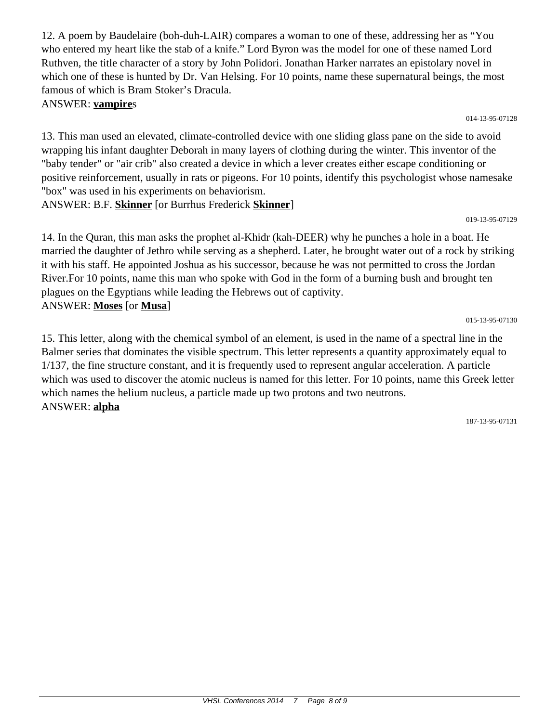12. A poem by Baudelaire (boh-duh-LAIR) compares a woman to one of these, addressing her as "You who entered my heart like the stab of a knife." Lord Byron was the model for one of these named Lord Ruthven, the title character of a story by John Polidori. Jonathan Harker narrates an epistolary novel in which one of these is hunted by Dr. Van Helsing. For 10 points, name these supernatural beings, the most famous of which is Bram Stoker's Dracula. ANSWER: **vampire**s

014-13-95-07128

019-13-95-07129

015-13-95-07130

13. This man used an elevated, climate-controlled device with one sliding glass pane on the side to avoid wrapping his infant daughter Deborah in many layers of clothing during the winter. This inventor of the "baby tender" or "air crib" also created a device in which a lever creates either escape conditioning or positive reinforcement, usually in rats or pigeons. For 10 points, identify this psychologist whose namesake "box" was used in his experiments on behaviorism.

ANSWER: B.F. **Skinner** [or Burrhus Frederick **Skinner**]

14. In the Quran, this man asks the prophet al-Khidr (kah-DEER) why he punches a hole in a boat. He married the daughter of Jethro while serving as a shepherd. Later, he brought water out of a rock by striking it with his staff. He appointed Joshua as his successor, because he was not permitted to cross the Jordan River.For 10 points, name this man who spoke with God in the form of a burning bush and brought ten plagues on the Egyptians while leading the Hebrews out of captivity. ANSWER: **Moses** [or **Musa**]

15. This letter, along with the chemical symbol of an element, is used in the name of a spectral line in the Balmer series that dominates the visible spectrum. This letter represents a quantity approximately equal to 1/137, the fine structure constant, and it is frequently used to represent angular acceleration. A particle which was used to discover the atomic nucleus is named for this letter. For 10 points, name this Greek letter which names the helium nucleus, a particle made up two protons and two neutrons. ANSWER: **alpha**